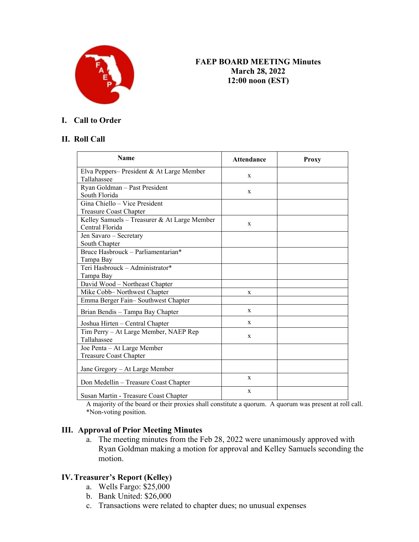

### **X FAEP BOARD MEETING Minutes March 28, 2022 12:00 noon (EST)**

### **I. Call to Order**

### **II. Roll Call**

| <b>Name</b>                                                     | <b>Attendance</b> | Proxy |
|-----------------------------------------------------------------|-------------------|-------|
| Elva Peppers-President & At Large Member<br>Tallahassee         | X                 |       |
| Ryan Goldman - Past President<br>South Florida                  | X                 |       |
| Gina Chiello - Vice President<br><b>Treasure Coast Chapter</b>  |                   |       |
| Kelley Samuels – Treasurer & At Large Member<br>Central Florida | X                 |       |
| Jen Savaro - Secretary<br>South Chapter                         |                   |       |
| Bruce Hasbrouck - Parliamentarian*<br>Tampa Bay                 |                   |       |
| Teri Hasbrouck - Administrator*<br>Tampa Bay                    |                   |       |
| David Wood - Northeast Chapter                                  |                   |       |
| Mike Cobb-Northwest Chapter                                     | X                 |       |
| Emma Berger Fain-Southwest Chapter                              |                   |       |
| Brian Bendis - Tampa Bay Chapter                                | X                 |       |
| Joshua Hirten – Central Chapter                                 | X                 |       |
| Tim Perry - At Large Member, NAEP Rep<br>Tallahassee            | $\mathbf X$       |       |
| Joe Penta - At Large Member<br><b>Treasure Coast Chapter</b>    |                   |       |
| Jane Gregory - At Large Member                                  |                   |       |
| Don Medellin - Treasure Coast Chapter                           | X                 |       |
| Susan Martin - Treasure Coast Chapter                           | X                 |       |

A majority of the board or their proxies shall constitute a quorum. A quorum was present at roll call. \*Non-voting position.

#### **III. Approval of Prior Meeting Minutes**

a. The meeting minutes from the Feb 28, 2022 were unanimously approved with Ryan Goldman making a motion for approval and Kelley Samuels seconding the motion.

#### **IV.Treasurer's Report (Kelley)**

- a. Wells Fargo: \$25,000
- b. Bank United: \$26,000
- c. Transactions were related to chapter dues; no unusual expenses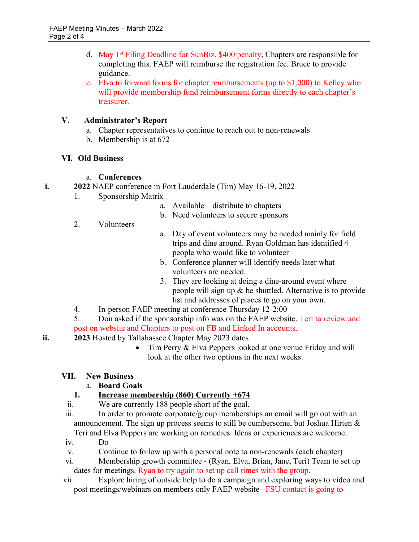- d. May 1<sup>st</sup> Filing Deadline for SunBiz. \$400 penalty, Chapters are responsible for completing this. FAEP will reimburse the registration fee. Bruce to provide guidance.
- e. Elva to forward forms for chapter reimbursements (up to \$1,000) to Kelley who will provide membership fund reimbursement forms directly to each chapter's treasurer.

## **V. Administrator's Report**

- a. Chapter representatives to continue to reach out to non-renewals
- b. Membership is at 672

### **VI. Old Business**

### a. **Conferences**

- **i. 2022** NAEP conference in Fort Lauderdale (Tim) May 16-19, 2022
	- 1. Sponsorship Matrix
		- a. Available distribute to chapters
		- b. Need volunteers to secure sponsors
	- 2. Volunteers
- a. Day of event volunteers may be needed mainly for field trips and dine around. Ryan Goldman has identified 4 people who would like to volunteer
- b. Conference planner will identify needs later what volunteers are needed.
- 3. They are looking at doing a dine-around event where people will sign up & be shuttled. Alternative is to provide list and addresses of places to go on your own.
- 4. In-person FAEP meeting at conference Thursday 12-2:00
- 5. Don asked if the sponsorship info was on the FAEP website. Teri to review and post on website and Chapters to post on FB and Linked In accounts.
- **ii. 2023** Hosted by Tallahassee Chapter May 2023 dates
	- Tim Perry & Elva Peppers looked at one venue Friday and will look at the other two options in the next weeks.

# **VII. New Business**

# a. **Board Goals**

# **1. Increase membership (860) Currently +674**

- ii. We are currently 188 people short of the goal.
- iii. In order to promote corporate/group memberships an email will go out with an announcement. The sign up process seems to still be cumbersome, but Joshua Hirten & Teri and Elva Peppers are working on remedies. Ideas or experiences are welcome.
- iv. Do
- v. Continue to follow up with a personal note to non-renewals (each chapter)
- vi. Membership growth committee (Ryan, Elva, Brian, Jane, Teri) Team to set up dates for meetings. Ryan to try again to set up call times with the group.
- vii. Explore hiring of outside help to do a campaign and exploring ways to video and post meetings/webinars on members only FAEP website –FSU contact is going to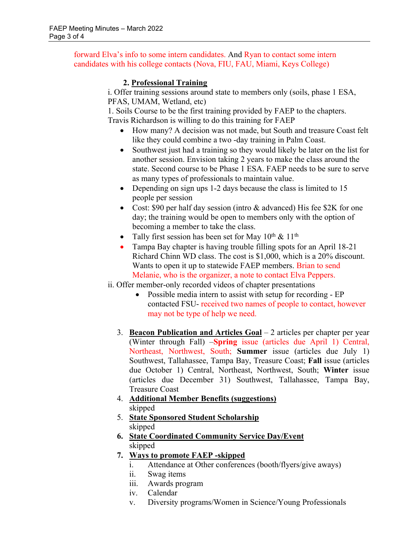forward Elva's info to some intern candidates. And Ryan to contact some intern candidates with his college contacts (Nova, FIU, FAU, Miami, Keys College)

### **2. Professional Training**

i. Offer training sessions around state to members only (soils, phase 1 ESA, PFAS, UMAM, Wetland, etc)

1. Soils Course to be the first training provided by FAEP to the chapters. Travis Richardson is willing to do this training for FAEP

- How many? A decision was not made, but South and treasure Coast felt like they could combine a two -day training in Palm Coast.
- Southwest just had a training so they would likely be later on the list for another session. Envision taking 2 years to make the class around the state. Second course to be Phase 1 ESA. FAEP needs to be sure to serve as many types of professionals to maintain value.
- Depending on sign ups 1-2 days because the class is limited to 15 people per session
- Cost: \$90 per half day session (intro & advanced) His fee \$2K for one day; the training would be open to members only with the option of becoming a member to take the class.
- Tally first session has been set for May  $10^{th} \& 11^{th}$
- Tampa Bay chapter is having trouble filling spots for an April 18-21 Richard Chinn WD class. The cost is \$1,000, which is a 20% discount. Wants to open it up to statewide FAEP members. Brian to send Melanie, who is the organizer, a note to contact Elva Peppers.

ii. Offer member-only recorded videos of chapter presentations

- Possible media intern to assist with setup for recording EP contacted FSU- received two names of people to contact, however may not be type of help we need.
- 3. **Beacon Publication and Articles Goal** 2 articles per chapter per year (Winter through Fall) –**Spring** issue (articles due April 1) Central, Northeast, Northwest, South; **Summer** issue (articles due July 1) Southwest, Tallahassee, Tampa Bay, Treasure Coast; **Fall** issue (articles due October 1) Central, Northeast, Northwest, South; **Winter** issue (articles due December 31) Southwest, Tallahassee, Tampa Bay, Treasure Coast
- 4. **Additional Member Benefits (suggestions)** skipped
- 5. **State Sponsored Student Scholarship** skipped
- **6. State Coordinated Community Service Day/Event** skipped
- **7. Ways to promote FAEP -skipped**
	- i. Attendance at Other conferences (booth/flyers/give aways)
	- ii. Swag items
	- iii. Awards program
	- iv. Calendar
	- v. Diversity programs/Women in Science/Young Professionals